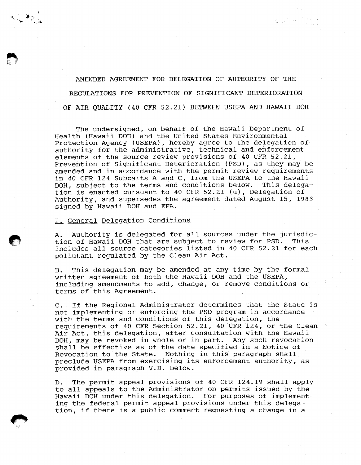AMENDED AGREEMENT FOR DELEGATION OF AUTHORITY OF THE REGULATIONS FOR PREVENTION OF SIGNIFICANT DETERIORATION OF AIR QUALITY (40 CFR 52.21) BETWEEN USEPA AND HAWAII DOH

 $\mathcal{L} \in \mathcal{L}^{\mathcal{I}}$  , where  $\mathcal{L}^{\mathcal{I}}$ 

The undersigned, on behalf of the Hawaii Department of Health (Hawaii DOH) and the United States Environmental Protection Agency (USEPA), hereby agree to the delegation of authority for the administrative, technical and enforcement elements of the source review provisions of 40 CFR 52.21, Frevention of Significant Deterioration (PSD), as they may be amended and in accordance with the permit review requirements in 40 CFR 124 Subparts A and C, from the USEPA to the Hawaii DOH, subject to the terms and conditions below. tion is enacted pursuant to 40 CFR 52.21 (u), Delegation of Authority, and supersedes the agreement dated August 15, 1983 signed by Hawaii DOH and EPA.

## I. General Delegation Conditions

 $\mathcal{N}_{\mathcal{F}_{\mathcal{A},\mathcal{A}}}$ 

A. Authority is delegated for all sources under the jurisdiction of Hawaii DOH that are subject to review for PSD. This includes all source categories listed in 40 CFR 52.21 for each pollutant regulated by the Clean Air Act.

B. This delegation may be amended at any time by the formal written agreement of both the Hawaii DOH and the USEPA, including amendments to add, change, or remove conditions or terms of this Agreement.

C. If the Regional Administrator determines that the State is not implementing or enforcing the PSD program in accordance with the terms and conditions of this delegation, the requirements of 40 CFR Section 52.21, 40 CFR 124, or the Clean Air Act, this delegation, after consultation with the Hawaii DOH, may be revoked in whole or in part. Any such revocation shall be effective as of the date specified in a Notice of Revocation to the State. Nothing in this paragraph shall preclude USEPA from exercising its enforcement authority, as provided in paragraph V.B. below.

D. The permit appeal provisions of 40 CFR 124.19 shall apply to all appeals to the Administrator on permits issued by the Hawaii DOH under this delegation. For purposes of implementing the federal permit appeal provisions under this delegation, if there is a public comment requesting a change in a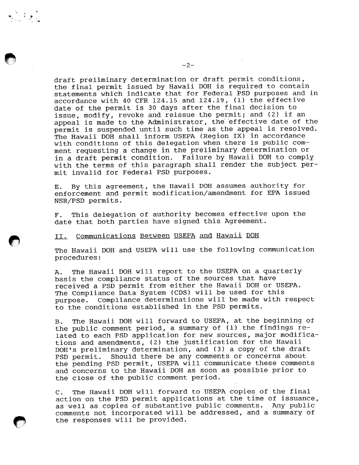draft preliminary determination or draft permit conditions, the final permit issued by Hawaii DOH is required to contain statements which indicate that for Federal PSD purposes and in accordance with 40 CFR 124.15 and 124.19, (1) the effective date of the permit is 30 days after the final decision to issue, modify, revoke and reissue the permit; and (2) if an appeal is made to the Administrator, the effective date of the permit is suspended until such time as the appeal is resolved. The Hawaii DOH shall inform USEPA (Region IX) in accordance with conditions of this delegation when there is public comment requesting a change in the preliminary determination or in a draft permit condition. Failure by Hawaii DOH to comply with the terms of this paragraph shall render the subject permit invalid for Federal PSD purposes.

By this agreement, the Hawaii DOH assumes authority for Ε. enforcement and permit modification/amendment for EPA issued NSR/PSD permits.

This delegation of authority becomes effective upon the Γ. date that both parties have signed this Agreement.

## II. Communications Between USEPA and Hawaii DOH

The Hawaii DOH and USEPA will use the following communication procedures:

The Hawaii DOH will report to the USEPA on a quarterly Α. basis the compliance status of the sources that have received a PSD permit from either the Hawaii DOH or USEPA. The Compliance Data System (CDS) will be used for this purpose. Compliance determinations will be made with respect to the conditions established in the PSD permits.

The Hawaii DOH will forward to USEPA, at the beginning of в. the public comment period, a summary of (1) the findings related to each PSD application for new sources, major modifications and amendments, (2) the justification for the Hawaii DOH's preliminary determination, and (3) a copy of the draft Should there be any comments or concerns about PSD permit. the pending PSD permit, USEPA will communicate these comments and concerns to the Hawaii DOH as soon as possible prior to the close of the public comment period.

The Hawaii DOH will forward to USEPA copies of the final  $\mathbf{C}$ . action on the PSD permit applications at the time of issuance, as well as copies of substantive public comments. Any public comments not incorporated will be addressed, and a summary of the responses will be provided.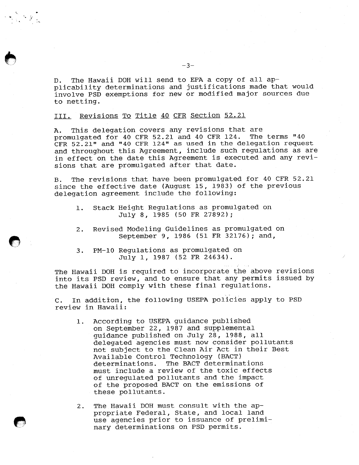The Hawaii DOH will send to EPA a copy of all ap- $D$ . plicability determinations and justifications made that would involve PSD exemptions for new or modified major sources due to netting.

III. Revisions To Title 40 CFR Section 52.21

This delegation covers any revisions that are Ά. promulgated for 40 CFR 52.21 and 40 CFR 124. The terms "40 CFR 52.21" and "40 CFR 124" as used in the delegation request and throughout this Agreement, include such regulations as are in effect on the date this Agreement is executed and any revisions that are promulgated after that date.

The revisions that have been promulgated for 40 CFR 52.21 **B.** since the effective date (August 15, 1983) of the previous delegation agreement include the following:

- Stack Height Regulations as promulgated on  $\mathbf{1}$ . July 8, 1985 (50 FR 27892);
- $2.$ Revised Modeling Guidelines as promulgated on September 9, 1986 (51 FR 32176); and,
- PM-10 Regulations as promulgated on  $3.$ July 1, 1987 (52 FR 24634).

The Hawaii DOH is required to incorporate the above revisions into its PSD review, and to ensure that any permits issued by the Hawaii DOH comply with these final regulations.

In addition, the following USEPA policies apply to PSD  $C_{\star}$ review in Hawaii:

- According to USEPA guidance published 1. on September 22, 1987 and supplemental guidance published on July 28, 1988, all delegated agencies must now consider pollutants not subject to the Clean Air Act in their Best Available Control Technology (BACT) determinations. The BACT determinations must include a review of the toxic effects of unregulated pollutants and the impact of the proposed BACT on the emissions of these pollutants.
- The Hawaii DOH must consult with the ap- $2.$ propriate Federal, State, and local land use agencies prior to issuance of preliminary determinations on PSD permits.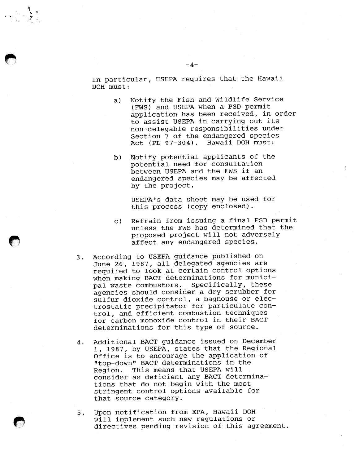In particular, USEPA requires that the Hawaii DOH must:

- Notify the Fish and Wildlife Service a) (FWS) and USEPA when a PSD permit application has been received, in order to assist USEPA in carrying out its non-delegable responsibilities under Section 7 of the endangered species Act (PL 97-304). Hawaii DOH must:
- Notify potential applicants of the  $b)$ potential need for consultation between USEPA and the FWS if an endangered species may be affected by the project.

USEPA's data sheet may be used for this process (copy enclosed).

- Refrain from issuing a final PSD permit  $\mathbf{C}$ ) unless the FWS has determined that the proposed project will not adversely affect any endangered species.
- According to USEPA guidance published on  $3.$ June 26, 1987, all delegated agencies are required to look at certain control options when making BACT determinations for municipal waste combustors. Specifically, these agencies should consider a dry scrubber for sulfur dioxide control, a baghouse or electrostatic precipitator for particulate control, and efficient combustion techniques for carbon monoxide control in their BACT determinations for this type of source.
- Additional BACT guidance issued on December 4. 1, 1987, by USEPA, states that the Regional Office is to encourage the application of "top-down" BACT determinations in the This means that USEPA will Region. consider as deficient any BACT determinations that do not begin with the most stringent control options available for that source category.
- Upon notification from EPA, Hawaii DOH  $5.$ will implement such new regulations or directives pending revision of this agreement.

 $-4-$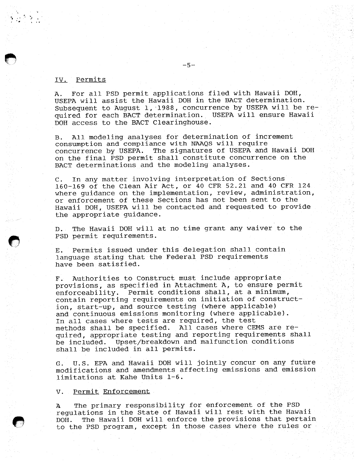## IV. Permits

For all PSD permit applications filed with Hawaii DOH, A. USEPA will assist the Hawaii DOH in the BACT determination. Subsequent to August 1, 1988, concurrence by USEPA will be required for each BACT determination. USEPA will ensure Hawaii DOH access to the BACT Clearinghouse.

All modeling analyses for determination of increment  $B.$ consumption and compliance with NAAQS will require concurrence by USEPA. The signatures of USEPA and Hawaii DOH on the final PSD permit shall constitute concurrence on the BACT determinations and the modeling analyses.

In any matter involving interpretation of Sections  $\mathsf{C}$  . 160-169 of the Clean Air Act, or 40 CFR 52.21 and 40 CFR 124 where guidance on the implementation, review, administration, or enforcement of these Sections has not been sent to the Hawaii DOH, USEPA will be contacted and requested to provide the appropriate guidance.

The Hawaii DOH will at no time grant any waiver to the  $D_{\star}$ . PSD permit requirements.

Permits issued under this delegation shall contain Е. language stating that the Federal PSD requirements have been satisfied.

Authorities to Construct must include appropriate  $\mathbb{F}$ . provisions, as specified in Attachment A, to ensure permit Permit conditions shall, at a minimum, enforceability. contain reporting requirements on initiation of construction, start-up, and source testing (where applicable) and continuous emissions monitoring (where applicable). In all cases where tests are required, the test methods shall be specified. All cases where CEMS are required, appropriate testing and reporting requirements shall be included. Upset/breakdown and malfunction conditions shall be included in all permits.

U.S. EPA and Hawaii DOH will jointly concur on any future  $G$ . modifications and amendments affecting emissions and emission limitations at Kahe Units 1-6.

## V. Permit Enforcement

The primary responsibility for enforcement of the PSD  $\mathbf{A}$ regulations in the State of Hawaii will rest with the Hawaii The Hawaii DOH will enforce the provisions that pertain DOH. to the PSD program, except in those cases where the rules or